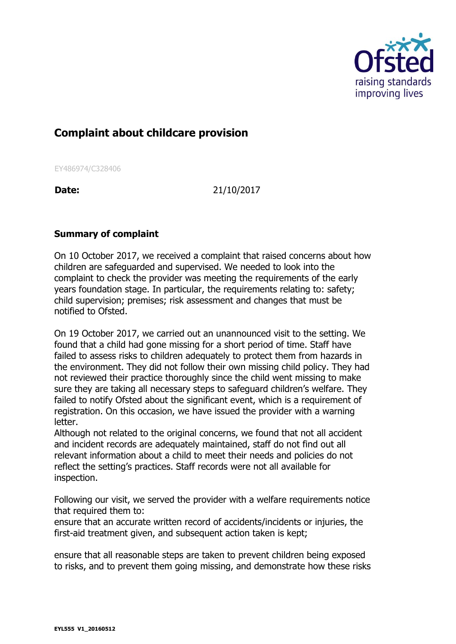

## **Complaint about childcare provision**

EY486974/C328406

**Date:** 21/10/2017

## **Summary of complaint**

On 10 October 2017, we received a complaint that raised concerns about how children are safeguarded and supervised. We needed to look into the complaint to check the provider was meeting the requirements of the early years foundation stage. In particular, the requirements relating to: safety; child supervision; premises; risk assessment and changes that must be notified to Ofsted.

On 19 October 2017, we carried out an unannounced visit to the setting. We found that a child had gone missing for a short period of time. Staff have failed to assess risks to children adequately to protect them from hazards in the environment. They did not follow their own missing child policy. They had not reviewed their practice thoroughly since the child went missing to make sure they are taking all necessary steps to safeguard children's welfare. They failed to notify Ofsted about the significant event, which is a requirement of registration. On this occasion, we have issued the provider with a warning letter.

Although not related to the original concerns, we found that not all accident and incident records are adequately maintained, staff do not find out all relevant information about a child to meet their needs and policies do not reflect the setting's practices. Staff records were not all available for inspection.

Following our visit, we served the provider with a welfare requirements notice that required them to:

ensure that an accurate written record of accidents/incidents or injuries, the first-aid treatment given, and subsequent action taken is kept;

ensure that all reasonable steps are taken to prevent children being exposed to risks, and to prevent them going missing, and demonstrate how these risks